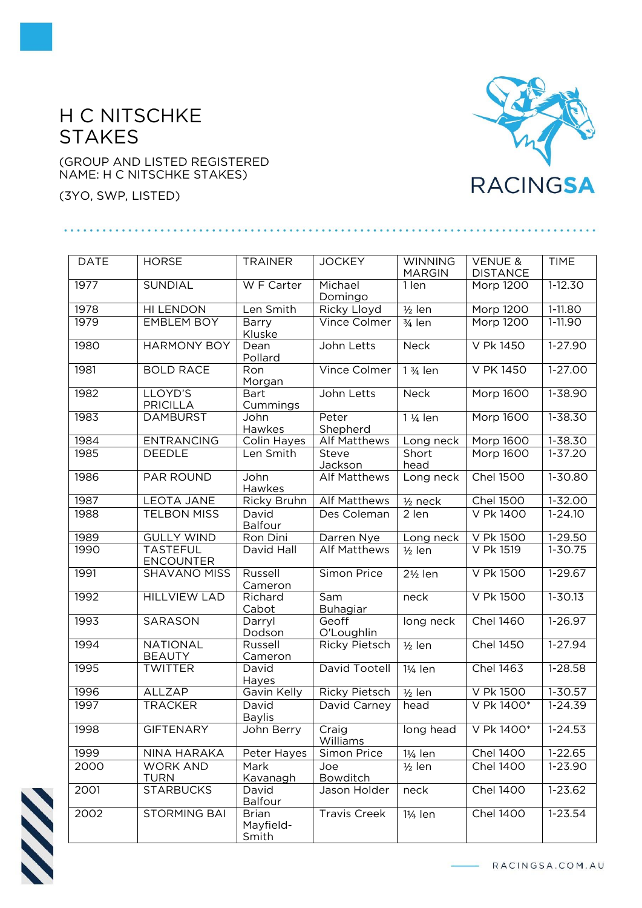## H C NITSCHKE **STAKES**

## (GROUP AND LISTED REGISTERED NAME: H C NITSCHKE STAKES)

(3YO, SWP, LISTED)



| <b>DATE</b> | <b>HORSE</b>                        | <b>TRAINER</b>                     | <b>JOCKEY</b>        | <b>WINNING</b>        | <b>VENUE &amp;</b> | <b>TIME</b>      |
|-------------|-------------------------------------|------------------------------------|----------------------|-----------------------|--------------------|------------------|
|             |                                     |                                    |                      | <b>MARGIN</b>         | <b>DISTANCE</b>    |                  |
| 1977        | SUNDIAL                             | W F Carter                         | Michael<br>Domingo   | 1 len                 | Morp 1200          | $1 - 12.30$      |
| 1978        | <b>HI LENDON</b>                    | Len Smith                          | Ricky Lloyd          | $1/2$ len             | <b>Morp 1200</b>   | $1-11.80$        |
| 1979        | <b>EMBLEM BOY</b>                   | Barry<br>Kluske                    | Vince Colmer         | $3/4$ len             | <b>Morp 1200</b>   | $1-11.90$        |
| 1980        | <b>HARMONY BOY</b>                  | Dean<br>Pollard                    | John Letts           | <b>Neck</b>           | V Pk 1450          | $1-27.90$        |
| 1981        | <b>BOLD RACE</b>                    | Ron<br>Morgan                      | Vince Colmer         | 1 3/ <sub>4</sub> len | <b>V PK 1450</b>   | $1-27.00$        |
| 1982        | LLOYD'S<br><b>PRICILLA</b>          | <b>Bart</b><br>Cummings            | John Letts           | <b>Neck</b>           | <b>Morp 1600</b>   | 1-38.90          |
| 1983        | <b>DAMBURST</b>                     | John<br>Hawkes                     | Peter<br>Shepherd    | 1 1/ <sub>4</sub> len | <b>Morp 1600</b>   | $1 - 38.30$      |
| 1984        | <b>ENTRANCING</b>                   | <b>Colin Hayes</b>                 | <b>Alf Matthews</b>  | Long neck             | Morp 1600          | $1 - 38.30$      |
| 1985        | <b>DEEDLE</b>                       | Len Smith                          | Steve<br>Jackson     | Short<br>head         | Morp 1600          | $1 - 37.20$      |
| 1986        | PAR ROUND                           | John<br>Hawkes                     | <b>Alf Matthews</b>  | Long neck             | <b>Chel 1500</b>   | 1-30.80          |
| 1987        | <b>LEOTA JANE</b>                   | Ricky Bruhn                        | <b>Alf Matthews</b>  | $1/2$ neck            | <b>Chel 1500</b>   | 1-32.00          |
| 1988        | <b>TELBON MISS</b>                  | David<br><b>Balfour</b>            | Des Coleman          | 2 len                 | V Pk 1400          | $1 - 24.10$      |
| 1989        | <b>GULLY WIND</b>                   | Ron Dini                           | Darren Nye           | Long neck             | V Pk 1500          | 1-29.50          |
| 1990        | <b>TASTEFUL</b><br><b>ENCOUNTER</b> | David Hall                         | <b>Alf Matthews</b>  | $1/2$ len             | V Pk 1519          | $1 - 30.75$      |
| 1991        | <b>SHAVANO MISS</b>                 | Russell<br>Cameron                 | Simon Price          | $2\frac{1}{2}$ len    | V Pk 1500          | 1-29.67          |
| 1992        | <b>HILLVIEW LAD</b>                 | Richard<br>Cabot                   | Sam<br>Buhagiar      | neck                  | V Pk 1500          | $1 - 30.13$      |
| 1993        | SARASON                             | Darryl<br>Dodson                   | Geoff<br>O'Loughlin  | long neck             | <b>Chel 1460</b>   | 1-26.97          |
| 1994        | <b>NATIONAL</b><br><b>BEAUTY</b>    | Russell<br>Cameron                 | <b>Ricky Pietsch</b> | $1/2$ len             | <b>Chel 1450</b>   | $1-27.94$        |
| 1995        | <b>TWITTER</b>                      | David<br>Hayes                     | David Tootell        | 11/ <sub>4</sub> len  | Chel 1463          | $1-28.58$        |
| 1996        | ALLZAP                              | Gavin Kelly                        | <b>Ricky Pietsch</b> | $1/2$ len             | V Pk 1500          | 1-30.57          |
| 1997        | <b>TRACKER</b>                      | David<br><b>Baylis</b>             | David Carney         | head                  | V Pk 1400*         | $1 - 24.39$      |
| 1998        | <b>GIFTENARY</b>                    | John Berry                         | Craig<br>Williams    | long head             | V Pk 1400*         | $\sqrt{1-24.53}$ |
| 1999        | NINA HARAKA                         | Peter Hayes                        | Simon Price          | 11/ <sub>4</sub> len  | <b>Chel 1400</b>   | $1-22.65$        |
| 2000        | <b>WORK AND</b><br><b>TURN</b>      | Mark<br>Kavanagh                   | Joe<br>Bowditch      | $1/2$ len             | <b>Chel 1400</b>   | 1-23.90          |
| 2001        | <b>STARBUCKS</b>                    | David<br>Balfour                   | Jason Holder         | neck                  | <b>Chel 1400</b>   | 1-23.62          |
| 2002        | <b>STORMING BAI</b>                 | <b>Brian</b><br>Mayfield-<br>Smith | <b>Travis Creek</b>  | 1¼ len                | <b>Chel 1400</b>   | 1-23.54          |



- RACINGSA.COM.AU